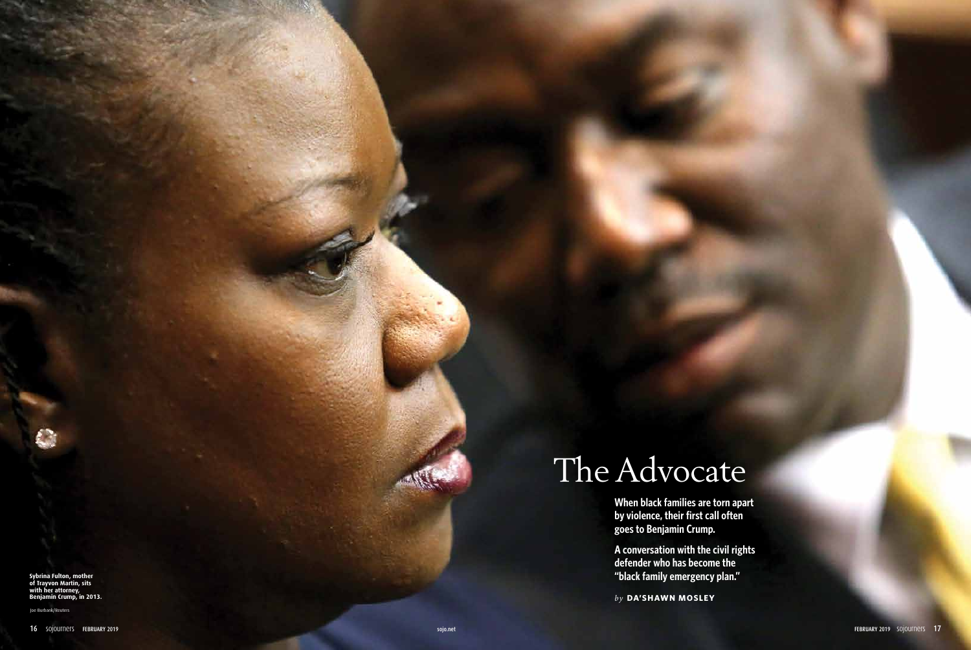# The Advocate

**When black families are torn apart by violence, their first call often goes to Benjamin Crump.**

**A conversation with the civil rights defender who has become the "black family emergency plan."** 

*by* **DA'SHAWN MOSLEY**

Joe Burbank/Reuters

**Sybrina Fulton, mother of Trayvon Martin, sits with her attorney, Benjamin Crump, in 2013.**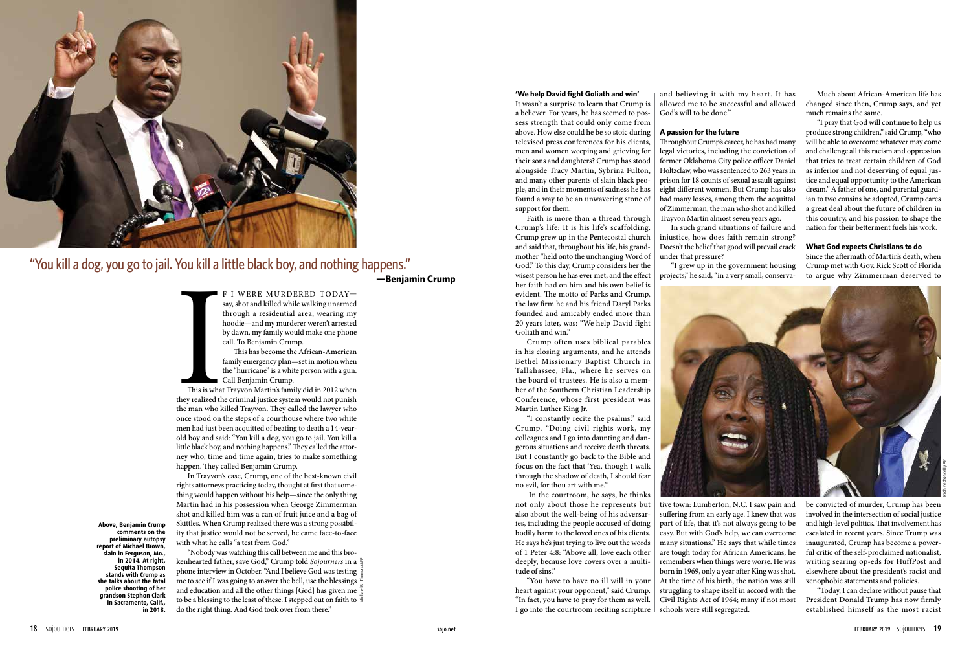F I WERE MURDERED TODAY say, shot and killed while walking unarmed through a residential area, wearing my hoodie—and my murderer weren't arrested by dawn, my family would make one phone call. To Benjamin Crump.

This has become the African-American family emergency plan—set in motion when the "hurricane" is a white person with a gun. Call Benjamin Crump.

This is what<br>they realized the<br>the man who k This is what Trayvon Martin's family did in 2012 when they realized the criminal justice system would not punish the man who killed Trayvon. They called the lawyer who once stood on the steps of a courthouse where two white men had just been acquitted of beating to death a 14-yearold boy and said: "You kill a dog, you go to jail. You kill a little black boy, and nothing happens." They called the attorney who, time and time again, tries to make something happen. They called Benjamin Crump.

In Trayvon's case, Crump, one of the best-known civil rights attorneys practicing today, thought at first that something would happen without his help—since the only thing Martin had in his possession when George Zimmerman shot and killed him was a can of fruit juice and a bag of Skittles. When Crump realized there was a strong possibility that justice would not be served, he came face-to-face with what he calls "a test from God."

Much about African-American life has changed since then, Crump says, and yet much remains the same.

"I pray that God will continue to help us produce strong children," said Crump, "who will be able to overcome whatever may come and challenge all this racism and oppression that tries to treat certain children of God as inferior and not deserving of equal justice and equal opportunity to the American dream." A father of one, and parental guardian to two cousins he adopted, Crump cares a great deal about the future of children in this country, and his passion to shape the nation for their betterment fuels his work.

#### **What God expects Christians to do**

Since the aftermath of Martin's death, when Crump met with Gov. Rick Scott of Florida to argue why Zimmerman deserved to

be convicted of murder, Crump has been involved in the intersection of social justice and high-level politics. That involvement has escalated in recent years. Since Trump was inaugurated, Crump has become a powerful critic of the self-proclaimed nationalist, writing searing op-eds for HuffPost and elsewhere about the president's racist and xenophobic statements and policies.

"Today, I can declare without pause that President Donald Trump has now firmly established himself as the most racist

#### **'We help David fight Goliath and win'**

It wasn't a surprise to learn that Crump is a believer. For years, he has seemed to possess strength that could only come from above. How else could he be so stoic during televised press conferences for his clients, men and women weeping and grieving for their sons and daughters? Crump has stood alongside Tracy Martin, Sybrina Fulton, and many other parents of slain black people, and in their moments of sadness he has found a way to be an unwavering stone of support for them.

Faith is more than a thread through Crump's life: It is his life's scaffolding. Crump grew up in the Pentecostal church and said that, throughout his life, his grandmother "held onto the unchanging Word of God." To this day, Crump considers her the wisest person he has ever met, and the effect her faith had on him and his own belief is evident. The motto of Parks and Crump, the law firm he and his friend Daryl Parks founded and amicably ended more than 20 years later, was: "We help David fight Goliath and win."

"Nobody was watching this call between me and this brokenhearted father, save God," Crump told *Sojourners* in a phone interview in October. "And I believe God was testing me to see if I was going to answer the bell, use the blessings in and education and all the other things [God] has given me  $\frac{1}{3}$ to be a blessing to the least of these. I stepped out on faith to  $\overline{\overline{\overline{\epsilon}}}$ do the right thing. And God took over from there." Michael B. Thomas/AFP

Crump often uses biblical parables in his closing arguments, and he attends Bethel Missionary Baptist Church in Tallahassee, Fla., where he serves on the board of trustees. He is also a member of the Southern Christian Leadership Conference, whose first president was Martin Luther King Jr.

"I constantly recite the psalms," said Crump. "Doing civil rights work, my colleagues and I go into daunting and dangerous situations and receive death threats. But I constantly go back to the Bible and focus on the fact that 'Yea, though I walk through the shadow of death, I should fear no evil, for thou art with me.'"

 In the courtroom, he says, he thinks not only about those he represents but also about the well-being of his adversaries, including the people accused of doing bodily harm to the loved ones of his clients. He says he's just trying to live out the words of 1 Peter 4:8: "Above all, love each other deeply, because love covers over a multitude of sins."

"You have to have no ill will in your heart against your opponent," said Crump. "In fact, you have to pray for them as well. I go into the courtroom reciting scripture and believing it with my heart. It has allowed me to be successful and allowed God's will to be done."

#### **A passion for the future**

Throughout Crump's career, he has had many legal victories, including the conviction of former Oklahoma City police officer Daniel Holtzclaw, who was sentenced to 263 years in prison for 18 counts of sexual assault against eight different women. But Crump has also had many losses, among them the acquittal of Zimmerman, the man who shot and killed Trayvon Martin almost seven years ago.

In such grand situations of failure and injustice, how does faith remain strong? Doesn't the belief that good will prevail crack under that pressure?

"I grew up in the government housing

projects," he said, "in a very small, conserva-



tive town: Lumberton, N.C. I saw pain and suffering from an early age. I knew that was part of life, that it's not always going to be easy. But with God's help, we can overcome many situations." He says that while times are tough today for African Americans, he remembers when things were worse. He was born in 1969, only a year after King was shot. At the time of his birth, the nation was still struggling to shape itself in accord with the Civil Rights Act of 1964; many if not most schools were still segregated.



## "You kill a dog, you go to jail. You kill a little black boy, and nothing happens."

**—Benjamin Crump**

**Above, Benjamin Crump comments on the preliminary autopsy report of Michael Brown, slain in Ferguson, Mo., in 2014. At right, Sequita Thompson stands with Crump as she talks about the fatal police shooting of her grandson Stephon Clark in Sacramento, Calif., in 2018.** 

Rich Pedroncelli/AP